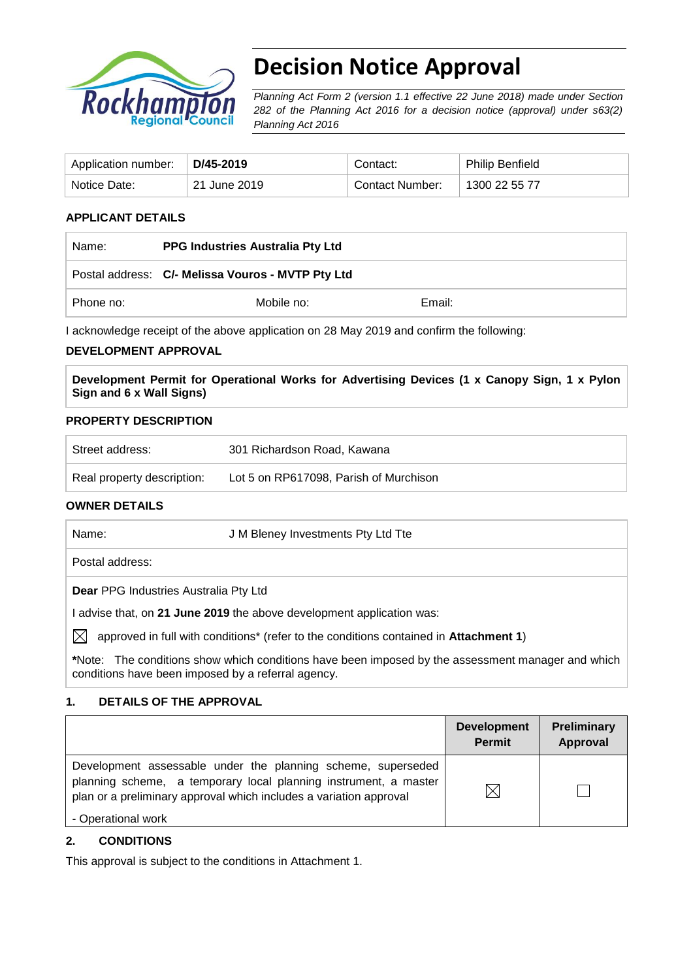

# **Decision Notice Approval**

*Planning Act Form 2 (version 1.1 effective 22 June 2018) made under Section 282 of the Planning Act 2016 for a decision notice (approval) under s63(2) Planning Act 2016*

| Application number: | D/45-2019    | Contact:        | <b>Philip Benfield</b> |
|---------------------|--------------|-----------------|------------------------|
| Notice Date:        | 21 June 2019 | Contact Number: | 1300 22 55 77          |

## **APPLICANT DETAILS**

| Name:     | <b>PPG Industries Australia Pty Ltd</b>           |        |  |
|-----------|---------------------------------------------------|--------|--|
|           | Postal address: C/- Melissa Vouros - MVTP Pty Ltd |        |  |
| Phone no: | Mobile no:                                        | Email: |  |

I acknowledge receipt of the above application on 28 May 2019 and confirm the following:

## **DEVELOPMENT APPROVAL**

**Development Permit for Operational Works for Advertising Devices (1 x Canopy Sign, 1 x Pylon Sign and 6 x Wall Signs)**

## **PROPERTY DESCRIPTION**

| Street address:            | 301 Richardson Road, Kawana            |
|----------------------------|----------------------------------------|
| Real property description: | Lot 5 on RP617098, Parish of Murchison |

## **OWNER DETAILS**

| Name:                                                               | J M Bleney Investments Pty Ltd Tte                                                                |  |  |
|---------------------------------------------------------------------|---------------------------------------------------------------------------------------------------|--|--|
| Postal address:                                                     |                                                                                                   |  |  |
| <b>Dear PPG Industries Australia Pty Ltd</b>                        |                                                                                                   |  |  |
| advise that, on 21 June 2019 the above development application was: |                                                                                                   |  |  |
| IXI                                                                 | approved in full with conditions* (refer to the conditions contained in Attachment 1)             |  |  |
| conditions have been imposed by a referral agency.                  | *Note: The conditions show which conditions have been imposed by the assessment manager and which |  |  |

## **1. DETAILS OF THE APPROVAL**

|                                                                                                                                                                                                        | <b>Development</b><br><b>Permit</b> | <b>Preliminary</b><br>Approval |
|--------------------------------------------------------------------------------------------------------------------------------------------------------------------------------------------------------|-------------------------------------|--------------------------------|
| Development assessable under the planning scheme, superseded<br>planning scheme, a temporary local planning instrument, a master<br>plan or a preliminary approval which includes a variation approval | M                                   |                                |
| - Operational work                                                                                                                                                                                     |                                     |                                |

## **2. CONDITIONS**

This approval is subject to the conditions in Attachment 1.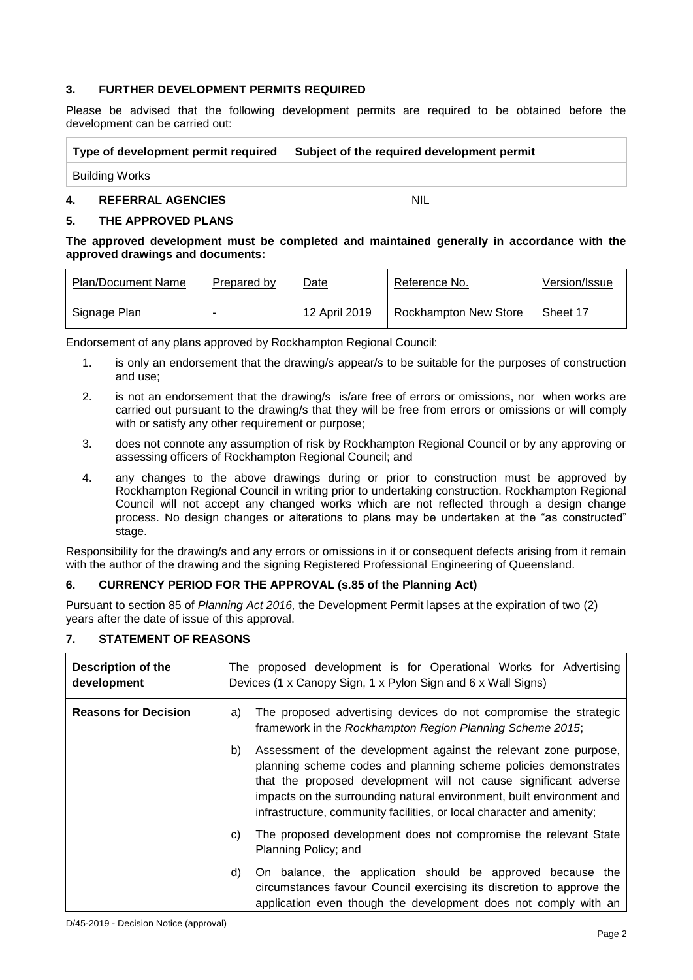## **3. FURTHER DEVELOPMENT PERMITS REQUIRED**

Please be advised that the following development permits are required to be obtained before the development can be carried out:

| Type of development permit required | Subject of the required development permit |
|-------------------------------------|--------------------------------------------|
| Building Works                      |                                            |

#### **4. REFERRAL AGENCIES** NIL

#### **5. THE APPROVED PLANS**

#### **The approved development must be completed and maintained generally in accordance with the approved drawings and documents:**

| <b>Plan/Document Name</b> | Prepared by | Date          | Reference No.                | Version/Issue |
|---------------------------|-------------|---------------|------------------------------|---------------|
| Signage Plan              |             | 12 April 2019 | <b>Rockhampton New Store</b> | Sheet 17      |

Endorsement of any plans approved by Rockhampton Regional Council:

- 1. is only an endorsement that the drawing/s appear/s to be suitable for the purposes of construction and use;
- 2. is not an endorsement that the drawing/s is/are free of errors or omissions, nor when works are carried out pursuant to the drawing/s that they will be free from errors or omissions or will comply with or satisfy any other requirement or purpose;
- 3. does not connote any assumption of risk by Rockhampton Regional Council or by any approving or assessing officers of Rockhampton Regional Council; and
- 4. any changes to the above drawings during or prior to construction must be approved by Rockhampton Regional Council in writing prior to undertaking construction. Rockhampton Regional Council will not accept any changed works which are not reflected through a design change process. No design changes or alterations to plans may be undertaken at the "as constructed" stage.

Responsibility for the drawing/s and any errors or omissions in it or consequent defects arising from it remain with the author of the drawing and the signing Registered Professional Engineering of Queensland.

## **6. CURRENCY PERIOD FOR THE APPROVAL (s.85 of the Planning Act)**

Pursuant to section 85 of *Planning Act 2016,* the Development Permit lapses at the expiration of two (2) years after the date of issue of this approval.

## **7. STATEMENT OF REASONS**

| Description of the<br>development |    | The proposed development is for Operational Works for Advertising<br>Devices (1 x Canopy Sign, 1 x Pylon Sign and 6 x Wall Signs)                                                                                                                                                                                                                         |  |  |
|-----------------------------------|----|-----------------------------------------------------------------------------------------------------------------------------------------------------------------------------------------------------------------------------------------------------------------------------------------------------------------------------------------------------------|--|--|
| <b>Reasons for Decision</b>       | a) | The proposed advertising devices do not compromise the strategic<br>framework in the Rockhampton Region Planning Scheme 2015;                                                                                                                                                                                                                             |  |  |
|                                   | b) | Assessment of the development against the relevant zone purpose,<br>planning scheme codes and planning scheme policies demonstrates<br>that the proposed development will not cause significant adverse<br>impacts on the surrounding natural environment, built environment and<br>infrastructure, community facilities, or local character and amenity; |  |  |
|                                   | C) | The proposed development does not compromise the relevant State<br>Planning Policy; and                                                                                                                                                                                                                                                                   |  |  |
|                                   | d) | On balance, the application should be approved because the<br>circumstances favour Council exercising its discretion to approve the<br>application even though the development does not comply with an                                                                                                                                                    |  |  |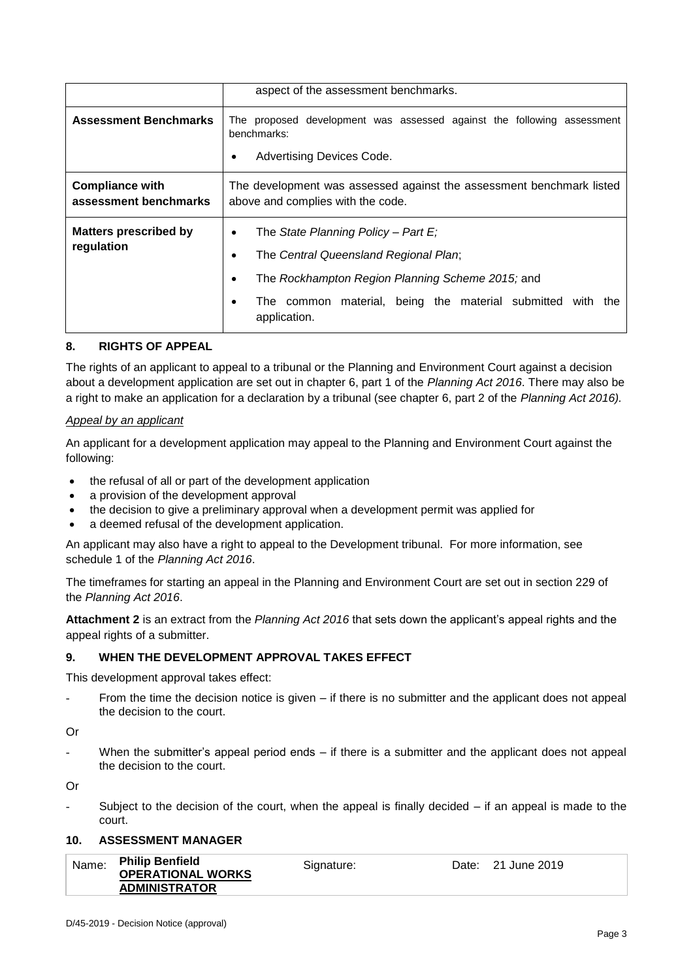|                                                 | aspect of the assessment benchmarks.                                                                                                                                                                                                                     |  |  |
|-------------------------------------------------|----------------------------------------------------------------------------------------------------------------------------------------------------------------------------------------------------------------------------------------------------------|--|--|
| <b>Assessment Benchmarks</b>                    | The proposed development was assessed against the following assessment<br>benchmarks:<br>Advertising Devices Code.<br>٠                                                                                                                                  |  |  |
| <b>Compliance with</b><br>assessment benchmarks | The development was assessed against the assessment benchmark listed<br>above and complies with the code.                                                                                                                                                |  |  |
| <b>Matters prescribed by</b><br>regulation      | The State Planning Policy - Part $E_i$<br>٠<br>The Central Queensland Regional Plan;<br>$\bullet$<br>The Rockhampton Region Planning Scheme 2015; and<br>٠<br>The common material, being the material submitted with<br>the<br>$\bullet$<br>application. |  |  |

## **8. RIGHTS OF APPEAL**

The rights of an applicant to appeal to a tribunal or the Planning and Environment Court against a decision about a development application are set out in chapter 6, part 1 of the *Planning Act 2016*. There may also be a right to make an application for a declaration by a tribunal (see chapter 6, part 2 of the *Planning Act 2016).*

## *Appeal by an applicant*

An applicant for a development application may appeal to the Planning and Environment Court against the following:

- the refusal of all or part of the development application
- a provision of the development approval
- the decision to give a preliminary approval when a development permit was applied for
- a deemed refusal of the development application.

An applicant may also have a right to appeal to the Development tribunal. For more information, see schedule 1 of the *Planning Act 2016*.

The timeframes for starting an appeal in the Planning and Environment Court are set out in section 229 of the *Planning Act 2016*.

**Attachment 2** is an extract from the *Planning Act 2016* that sets down the applicant's appeal rights and the appeal rights of a submitter.

## **9. WHEN THE DEVELOPMENT APPROVAL TAKES EFFECT**

This development approval takes effect:

From the time the decision notice is given  $-$  if there is no submitter and the applicant does not appeal the decision to the court.

Or

When the submitter's appeal period ends – if there is a submitter and the applicant does not appeal the decision to the court.

Or

Subject to the decision of the court, when the appeal is finally decided  $-$  if an appeal is made to the court.

#### **10. ASSESSMENT MANAGER**

| Name: | <b>Philip Benfield</b>   | Signature: | Date: 21 June 2019 |
|-------|--------------------------|------------|--------------------|
|       | <b>OPERATIONAL WORKS</b> |            |                    |
|       | <b>ADMINISTRATOR</b>     |            |                    |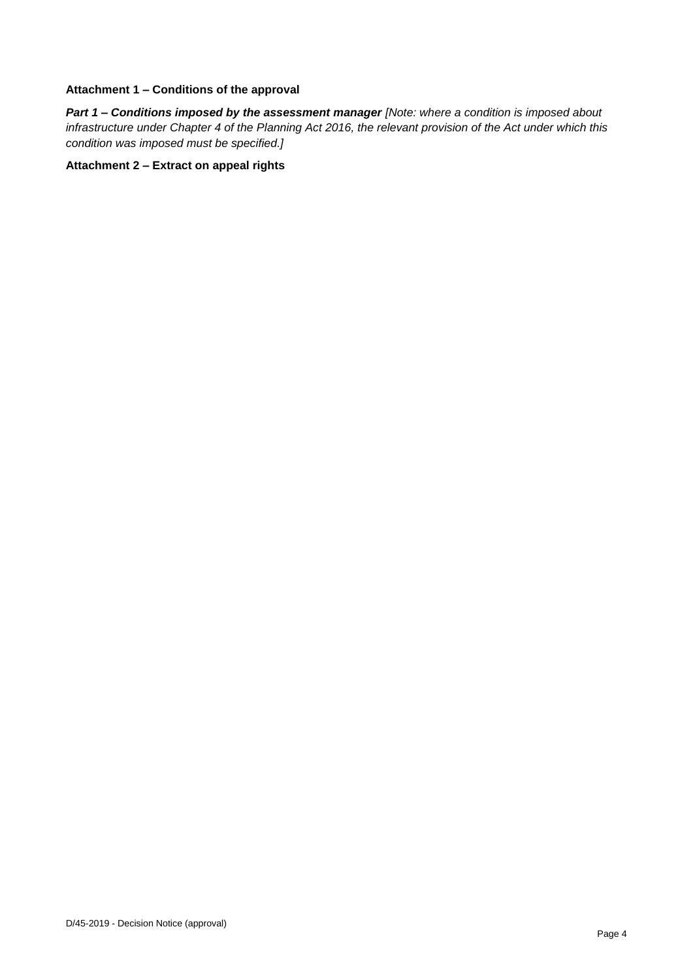#### **Attachment 1 – Conditions of the approval**

*Part 1* **–** *Conditions imposed by the assessment manager [Note: where a condition is imposed about infrastructure under Chapter 4 of the Planning Act 2016, the relevant provision of the Act under which this condition was imposed must be specified.]*

#### **Attachment 2 – Extract on appeal rights**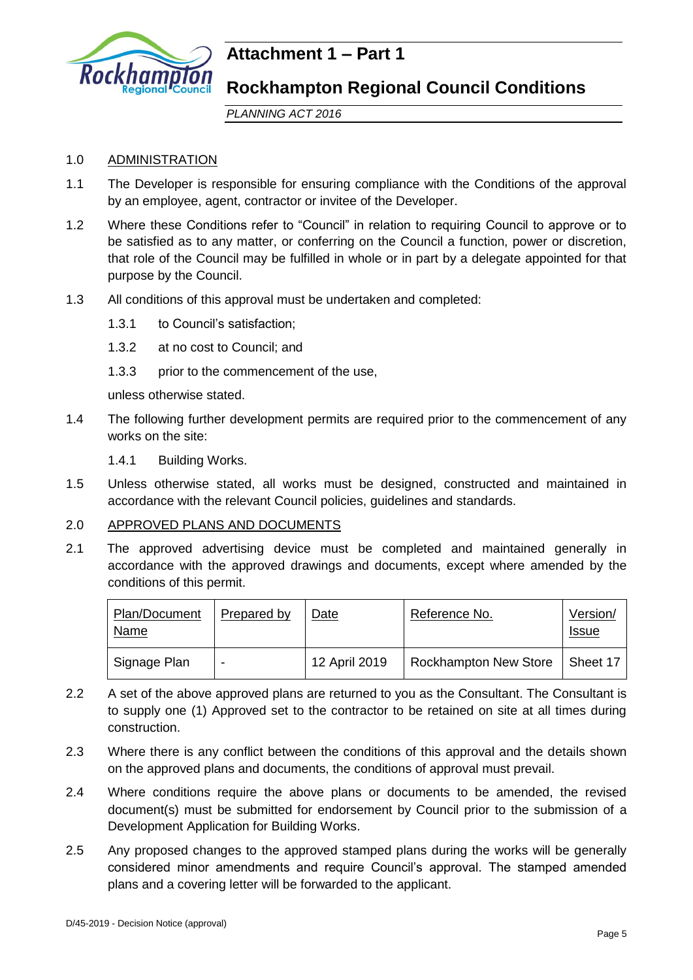

## **Attachment 1 – Part 1**

## **Rockhampton Regional Council Conditions**

*PLANNING ACT 2016*

## 1.0 ADMINISTRATION

- 1.1 The Developer is responsible for ensuring compliance with the Conditions of the approval by an employee, agent, contractor or invitee of the Developer.
- 1.2 Where these Conditions refer to "Council" in relation to requiring Council to approve or to be satisfied as to any matter, or conferring on the Council a function, power or discretion, that role of the Council may be fulfilled in whole or in part by a delegate appointed for that purpose by the Council.
- 1.3 All conditions of this approval must be undertaken and completed:
	- 1.3.1 to Council's satisfaction;
	- 1.3.2 at no cost to Council; and
	- 1.3.3 prior to the commencement of the use,

unless otherwise stated.

- 1.4 The following further development permits are required prior to the commencement of any works on the site:
	- 1.4.1 Building Works.
- 1.5 Unless otherwise stated, all works must be designed, constructed and maintained in accordance with the relevant Council policies, guidelines and standards.

## 2.0 APPROVED PLANS AND DOCUMENTS

2.1 The approved advertising device must be completed and maintained generally in accordance with the approved drawings and documents, except where amended by the conditions of this permit.

| Plan/Document<br>Name | Prepared by | Date          | Reference No.         | Version/<br><u>Issue</u> |
|-----------------------|-------------|---------------|-----------------------|--------------------------|
| Signage Plan          | -           | 12 April 2019 | Rockhampton New Store | Sheet 17                 |

- 2.2 A set of the above approved plans are returned to you as the Consultant. The Consultant is to supply one (1) Approved set to the contractor to be retained on site at all times during construction.
- 2.3 Where there is any conflict between the conditions of this approval and the details shown on the approved plans and documents, the conditions of approval must prevail.
- 2.4 Where conditions require the above plans or documents to be amended, the revised document(s) must be submitted for endorsement by Council prior to the submission of a Development Application for Building Works.
- 2.5 Any proposed changes to the approved stamped plans during the works will be generally considered minor amendments and require Council's approval. The stamped amended plans and a covering letter will be forwarded to the applicant.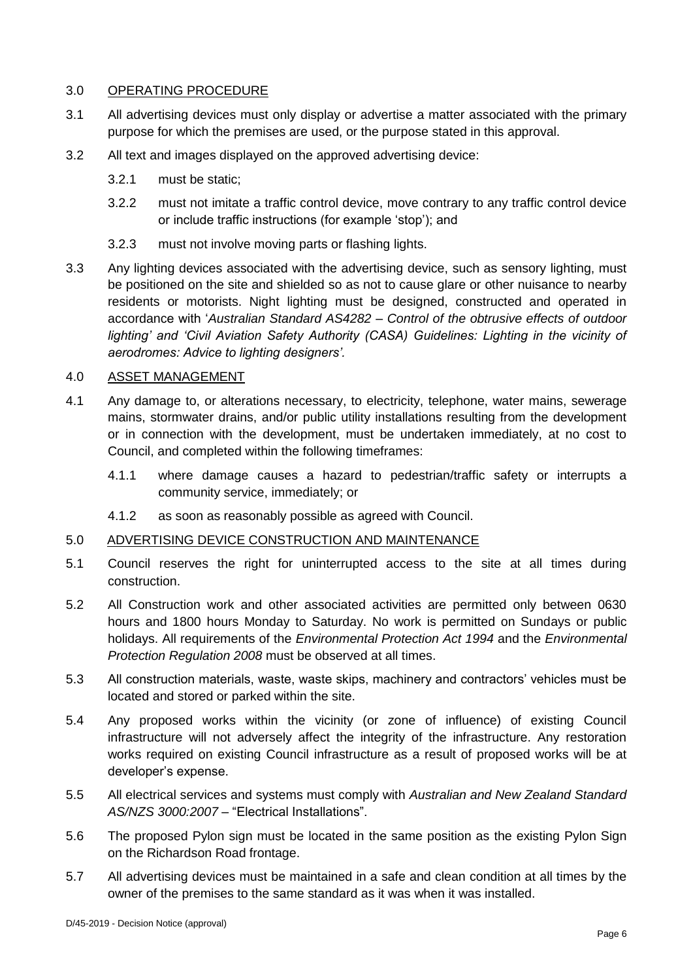## 3.0 OPERATING PROCEDURE

- 3.1 All advertising devices must only display or advertise a matter associated with the primary purpose for which the premises are used, or the purpose stated in this approval.
- 3.2 All text and images displayed on the approved advertising device:
	- 3.2.1 must be static;
	- 3.2.2 must not imitate a traffic control device, move contrary to any traffic control device or include traffic instructions (for example 'stop'); and
	- 3.2.3 must not involve moving parts or flashing lights.
- 3.3 Any lighting devices associated with the advertising device, such as sensory lighting, must be positioned on the site and shielded so as not to cause glare or other nuisance to nearby residents or motorists. Night lighting must be designed, constructed and operated in accordance with '*Australian Standard AS4282 – Control of the obtrusive effects of outdoor*  lighting' and 'Civil Aviation Safety Authority (CASA) Guidelines: Lighting in the vicinity of *aerodromes: Advice to lighting designers'.*

## 4.0 ASSET MANAGEMENT

- 4.1 Any damage to, or alterations necessary, to electricity, telephone, water mains, sewerage mains, stormwater drains, and/or public utility installations resulting from the development or in connection with the development, must be undertaken immediately, at no cost to Council, and completed within the following timeframes:
	- 4.1.1 where damage causes a hazard to pedestrian/traffic safety or interrupts a community service, immediately; or
	- 4.1.2 as soon as reasonably possible as agreed with Council.

## 5.0 ADVERTISING DEVICE CONSTRUCTION AND MAINTENANCE

- 5.1 Council reserves the right for uninterrupted access to the site at all times during construction.
- 5.2 All Construction work and other associated activities are permitted only between 0630 hours and 1800 hours Monday to Saturday. No work is permitted on Sundays or public holidays. All requirements of the *Environmental Protection Act 1994* and the *Environmental Protection Regulation 2008* must be observed at all times.
- 5.3 All construction materials, waste, waste skips, machinery and contractors' vehicles must be located and stored or parked within the site.
- 5.4 Any proposed works within the vicinity (or zone of influence) of existing Council infrastructure will not adversely affect the integrity of the infrastructure. Any restoration works required on existing Council infrastructure as a result of proposed works will be at developer's expense.
- 5.5 All electrical services and systems must comply with *Australian and New Zealand Standard AS/NZS 3000:2007* – "Electrical Installations".
- 5.6 The proposed Pylon sign must be located in the same position as the existing Pylon Sign on the Richardson Road frontage.
- 5.7 All advertising devices must be maintained in a safe and clean condition at all times by the owner of the premises to the same standard as it was when it was installed.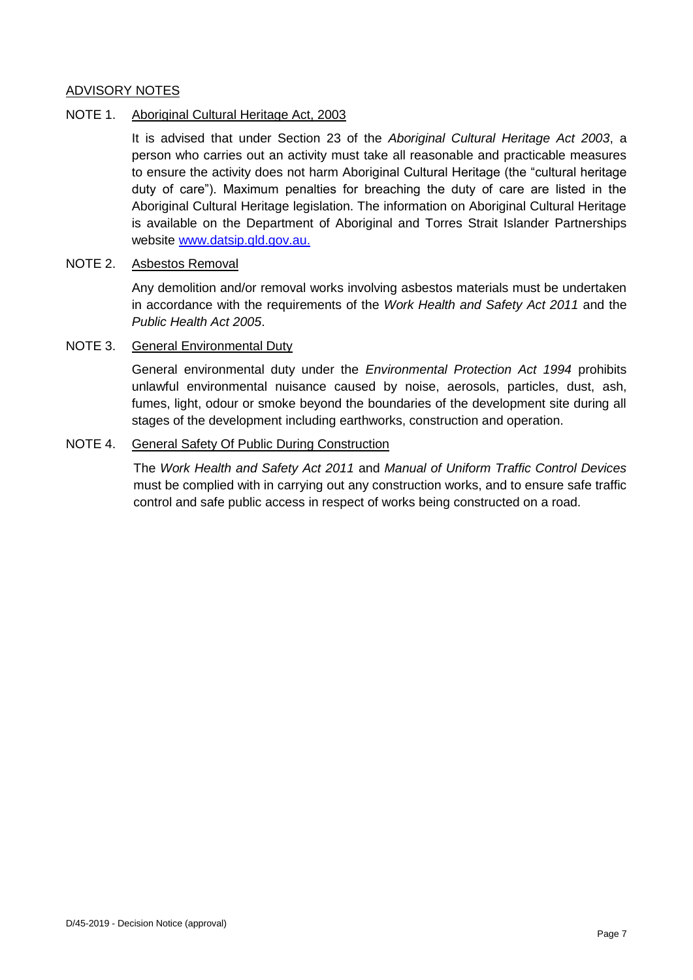## ADVISORY NOTES

## NOTE 1. Aboriginal Cultural Heritage Act, 2003

It is advised that under Section 23 of the *Aboriginal Cultural Heritage Act 2003*, a person who carries out an activity must take all reasonable and practicable measures to ensure the activity does not harm Aboriginal Cultural Heritage (the "cultural heritage duty of care"). Maximum penalties for breaching the duty of care are listed in the Aboriginal Cultural Heritage legislation. The information on Aboriginal Cultural Heritage is available on the Department of Aboriginal and Torres Strait Islander Partnerships website [www.datsip.qld.gov.au.](http://www.datsip.qld.gov.au/)

## NOTE 2. Asbestos Removal

Any demolition and/or removal works involving asbestos materials must be undertaken in accordance with the requirements of the *Work Health and Safety Act 2011* and the *Public Health Act 2005*.

## NOTE 3. General Environmental Duty

General environmental duty under the *Environmental Protection Act 1994* prohibits unlawful environmental nuisance caused by noise, aerosols, particles, dust, ash, fumes, light, odour or smoke beyond the boundaries of the development site during all stages of the development including earthworks, construction and operation.

## NOTE 4. General Safety Of Public During Construction

The *Work Health and Safety Act 2011* and *Manual of Uniform Traffic Control Devices* must be complied with in carrying out any construction works, and to ensure safe traffic control and safe public access in respect of works being constructed on a road.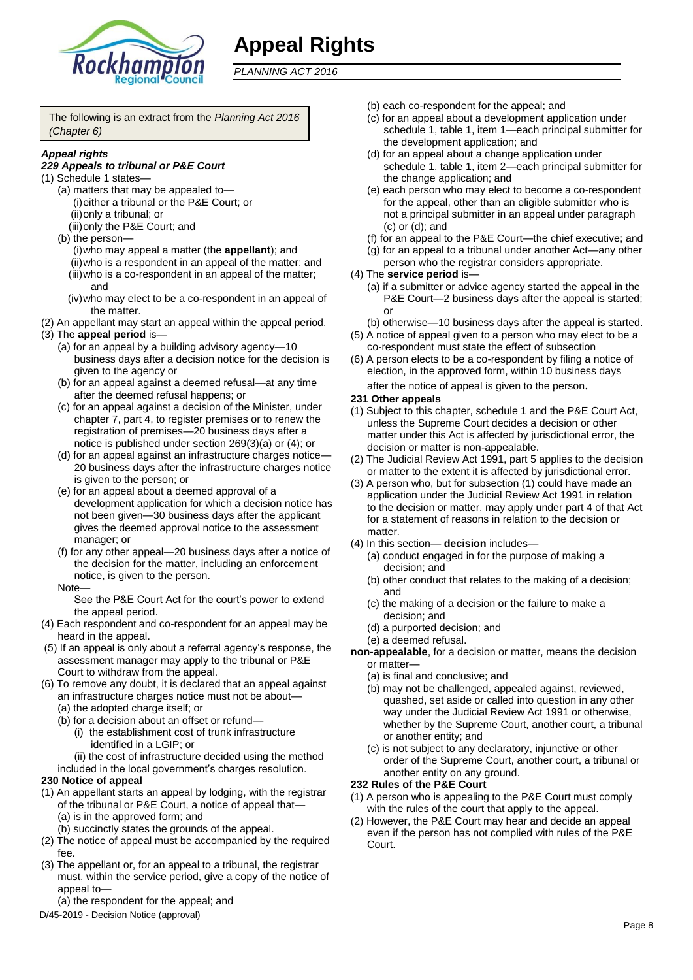

# **Appeal Rights**

*PLANNING ACT 2016*

The following is an extract from the *Planning Act 2016 (Chapter 6)*

## *Appeal rights*

## *229 Appeals to tribunal or P&E Court*

- (1) Schedule 1 states—
	- (a) matters that may be appealed to— (i)either a tribunal or the P&E Court; or (ii)only a tribunal; or
	- (iii)only the P&E Court; and
	- (b) the person—
		- (i)who may appeal a matter (the **appellant**); and (ii)who is a respondent in an appeal of the matter; and (iii)who is a co-respondent in an appeal of the matter; and
		- (iv)who may elect to be a co-respondent in an appeal of the matter.
- (2) An appellant may start an appeal within the appeal period. (3) The **appeal period** is—
	- (a) for an appeal by a building advisory agency—10 business days after a decision notice for the decision is given to the agency or
	- (b) for an appeal against a deemed refusal—at any time after the deemed refusal happens; or
	- (c) for an appeal against a decision of the Minister, under chapter 7, part 4, to register premises or to renew the registration of premises—20 business days after a notice is published under section 269(3)(a) or (4); or
	- (d) for an appeal against an infrastructure charges notice— 20 business days after the infrastructure charges notice is given to the person; or
	- (e) for an appeal about a deemed approval of a development application for which a decision notice has not been given—30 business days after the applicant gives the deemed approval notice to the assessment manager; or
	- (f) for any other appeal—20 business days after a notice of the decision for the matter, including an enforcement notice, is given to the person.

#### Note—

See the P&E Court Act for the court's power to extend the appeal period.

- (4) Each respondent and co-respondent for an appeal may be heard in the appeal.
- (5) If an appeal is only about a referral agency's response, the assessment manager may apply to the tribunal or P&E Court to withdraw from the appeal.
- (6) To remove any doubt, it is declared that an appeal against an infrastructure charges notice must not be about—
	- (a) the adopted charge itself; or
	- (b) for a decision about an offset or refund—
		- (i) the establishment cost of trunk infrastructure identified in a LGIP; or

(ii) the cost of infrastructure decided using the method

included in the local government's charges resolution.

## **230 Notice of appeal**

- (1) An appellant starts an appeal by lodging, with the registrar of the tribunal or P&E Court, a notice of appeal that—
	- (a) is in the approved form; and
	- (b) succinctly states the grounds of the appeal.
- (2) The notice of appeal must be accompanied by the required fee.
- (3) The appellant or, for an appeal to a tribunal, the registrar must, within the service period, give a copy of the notice of appeal to—
- (a) the respondent for the appeal; and
- D/45-2019 Decision Notice (approval)
- (b) each co-respondent for the appeal; and
- (c) for an appeal about a development application under schedule 1, table 1, item 1—each principal submitter for the development application; and
- (d) for an appeal about a change application under schedule 1, table 1, item 2—each principal submitter for the change application; and
- (e) each person who may elect to become a co-respondent for the appeal, other than an eligible submitter who is not a principal submitter in an appeal under paragraph (c) or (d); and
- (f) for an appeal to the P&E Court—the chief executive; and
- (g) for an appeal to a tribunal under another Act—any other person who the registrar considers appropriate.
- (4) The **service period** is—
	- (a) if a submitter or advice agency started the appeal in the P&E Court-2 business days after the appeal is started; or

(b) otherwise—10 business days after the appeal is started.

- (5) A notice of appeal given to a person who may elect to be a co-respondent must state the effect of subsection
- (6) A person elects to be a co-respondent by filing a notice of election, in the approved form, within 10 business days after the notice of appeal is given to the person*.*

## **231 Other appeals**

- (1) Subject to this chapter, schedule 1 and the P&E Court Act, unless the Supreme Court decides a decision or other matter under this Act is affected by jurisdictional error, the decision or matter is non-appealable.
- (2) The Judicial Review Act 1991, part 5 applies to the decision or matter to the extent it is affected by jurisdictional error.
- (3) A person who, but for subsection (1) could have made an application under the Judicial Review Act 1991 in relation to the decision or matter, may apply under part 4 of that Act for a statement of reasons in relation to the decision or matter
- (4) In this section— **decision** includes—
	- (a) conduct engaged in for the purpose of making a decision; and
	- (b) other conduct that relates to the making of a decision; and
	- (c) the making of a decision or the failure to make a decision; and
	- (d) a purported decision; and
	- (e) a deemed refusal.

**non-appealable**, for a decision or matter, means the decision or matter—

- (a) is final and conclusive; and
- (b) may not be challenged, appealed against, reviewed, quashed, set aside or called into question in any other way under the Judicial Review Act 1991 or otherwise, whether by the Supreme Court, another court, a tribunal or another entity; and
- (c) is not subject to any declaratory, injunctive or other order of the Supreme Court, another court, a tribunal or another entity on any ground.

## **232 Rules of the P&E Court**

- (1) A person who is appealing to the P&E Court must comply with the rules of the court that apply to the appeal.
- (2) However, the P&E Court may hear and decide an appeal even if the person has not complied with rules of the P&E Court.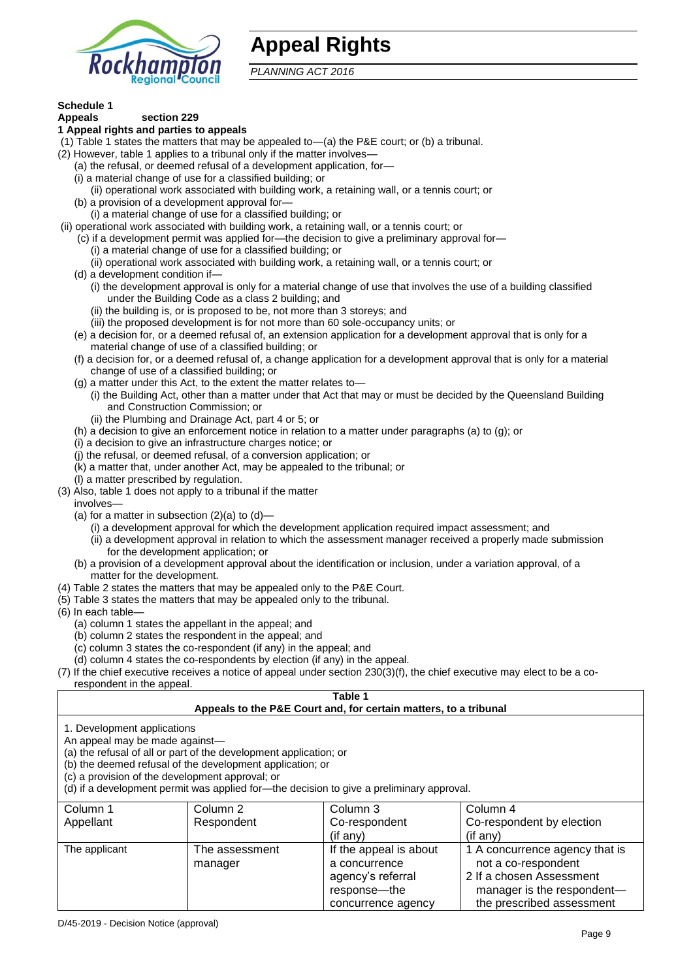

## **Appeal Rights**

*PLANNING ACT 2016*

## **Schedule 1**

#### **Appeals section 229 1 Appeal rights and parties to appeals**

- (1) Table 1 states the matters that may be appealed to—(a) the P&E court; or (b) a tribunal.
- (2) However, table 1 applies to a tribunal only if the matter involves-
	- (a) the refusal, or deemed refusal of a development application, for—
	- (i) a material change of use for a classified building; or
	- (ii) operational work associated with building work, a retaining wall, or a tennis court; or
	- (b) a provision of a development approval for—
	- (i) a material change of use for a classified building; or
- (ii) operational work associated with building work, a retaining wall, or a tennis court; or
	- (c) if a development permit was applied for—the decision to give a preliminary approval for—
		- (i) a material change of use for a classified building; or
		- (ii) operational work associated with building work, a retaining wall, or a tennis court; or
	- (d) a development condition if—
		- (i) the development approval is only for a material change of use that involves the use of a building classified under the Building Code as a class 2 building; and
		- (ii) the building is, or is proposed to be, not more than 3 storeys; and
		- (iii) the proposed development is for not more than 60 sole-occupancy units; or
	- (e) a decision for, or a deemed refusal of, an extension application for a development approval that is only for a material change of use of a classified building; or
	- (f) a decision for, or a deemed refusal of, a change application for a development approval that is only for a material change of use of a classified building; or
	- (g) a matter under this Act, to the extent the matter relates to—
		- (i) the Building Act, other than a matter under that Act that may or must be decided by the Queensland Building and Construction Commission; or
		- (ii) the Plumbing and Drainage Act, part 4 or 5; or
	- (h) a decision to give an enforcement notice in relation to a matter under paragraphs (a) to (g); or
	- (i) a decision to give an infrastructure charges notice; or
	- (j) the refusal, or deemed refusal, of a conversion application; or
	- (k) a matter that, under another Act, may be appealed to the tribunal; or
	- (l) a matter prescribed by regulation.
- (3) Also, table 1 does not apply to a tribunal if the matter
- involves—
	- (a) for a matter in subsection  $(2)(a)$  to  $(d)$ -
		- (i) a development approval for which the development application required impact assessment; and
		- (ii) a development approval in relation to which the assessment manager received a properly made submission for the development application; or
	- (b) a provision of a development approval about the identification or inclusion, under a variation approval, of a matter for the development.
- (4) Table 2 states the matters that may be appealed only to the P&E Court.
- (5) Table 3 states the matters that may be appealed only to the tribunal.
- (6) In each table—
	- (a) column 1 states the appellant in the appeal; and
	- (b) column 2 states the respondent in the appeal; and
	- (c) column 3 states the co-respondent (if any) in the appeal; and
- (d) column 4 states the co-respondents by election (if any) in the appeal.
- (7) If the chief executive receives a notice of appeal under section 230(3)(f), the chief executive may elect to be a corespondent in the appeal.

#### **Table 1 Appeals to the P&E Court and, for certain matters, to a tribunal**

1. Development applications

An appeal may be made against—

(a) the refusal of all or part of the development application; or

(b) the deemed refusal of the development application; or

(c) a provision of the development approval; or

(d) if a development permit was applied for—the decision to give a preliminary approval.

| Column 1      | Column 2                  | Column 3                                                                                             | Column 4                                                                                                                                     |
|---------------|---------------------------|------------------------------------------------------------------------------------------------------|----------------------------------------------------------------------------------------------------------------------------------------------|
| Appellant     | Respondent                | Co-respondent                                                                                        | Co-respondent by election                                                                                                                    |
|               |                           | $($ if any $)$                                                                                       | (if any)                                                                                                                                     |
| The applicant | The assessment<br>manager | If the appeal is about<br>a concurrence<br>agency's referral<br>response---the<br>concurrence agency | 1 A concurrence agency that is<br>not a co-respondent<br>2 If a chosen Assessment<br>manager is the respondent-<br>the prescribed assessment |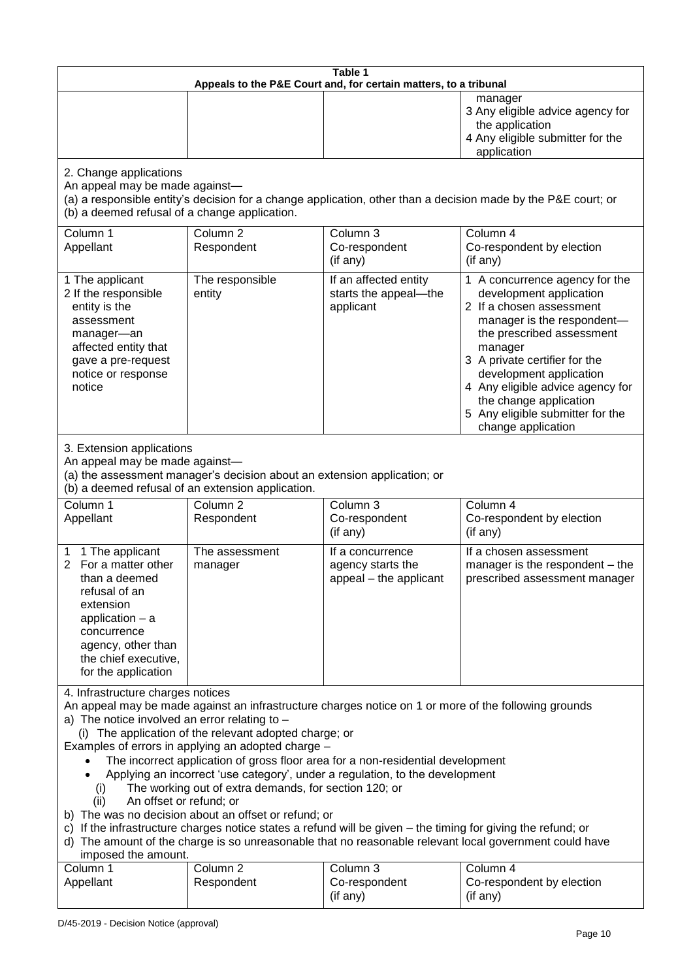| Table 1<br>Appeals to the P&E Court and, for certain matters, to a tribunal                                                                                                                                                                                                                                                                                                                                                                                                                                                                                                                                                                                                                                                                                                                                                                                                                 |                                   |                                                                 |                                                                                                                                                                                                                                                                                                                                                 |  |
|---------------------------------------------------------------------------------------------------------------------------------------------------------------------------------------------------------------------------------------------------------------------------------------------------------------------------------------------------------------------------------------------------------------------------------------------------------------------------------------------------------------------------------------------------------------------------------------------------------------------------------------------------------------------------------------------------------------------------------------------------------------------------------------------------------------------------------------------------------------------------------------------|-----------------------------------|-----------------------------------------------------------------|-------------------------------------------------------------------------------------------------------------------------------------------------------------------------------------------------------------------------------------------------------------------------------------------------------------------------------------------------|--|
|                                                                                                                                                                                                                                                                                                                                                                                                                                                                                                                                                                                                                                                                                                                                                                                                                                                                                             |                                   |                                                                 | manager<br>3 Any eligible advice agency for<br>the application<br>4 Any eligible submitter for the<br>application                                                                                                                                                                                                                               |  |
| 2. Change applications<br>An appeal may be made against-<br>(a) a responsible entity's decision for a change application, other than a decision made by the P&E court; or<br>(b) a deemed refusal of a change application.                                                                                                                                                                                                                                                                                                                                                                                                                                                                                                                                                                                                                                                                  |                                   |                                                                 |                                                                                                                                                                                                                                                                                                                                                 |  |
| Column <sub>1</sub><br>Appellant                                                                                                                                                                                                                                                                                                                                                                                                                                                                                                                                                                                                                                                                                                                                                                                                                                                            | Column <sub>2</sub><br>Respondent | Column <sub>3</sub><br>Co-respondent<br>(if any)                | Column 4<br>Co-respondent by election<br>(if any)                                                                                                                                                                                                                                                                                               |  |
| 1 The applicant<br>2 If the responsible<br>entity is the<br>assessment<br>manager-an<br>affected entity that<br>gave a pre-request<br>notice or response<br>notice                                                                                                                                                                                                                                                                                                                                                                                                                                                                                                                                                                                                                                                                                                                          | The responsible<br>entity         | If an affected entity<br>starts the appeal-the<br>applicant     | 1 A concurrence agency for the<br>development application<br>2 If a chosen assessment<br>manager is the respondent-<br>the prescribed assessment<br>manager<br>3 A private certifier for the<br>development application<br>4 Any eligible advice agency for<br>the change application<br>5 Any eligible submitter for the<br>change application |  |
| 3. Extension applications<br>An appeal may be made against-<br>(a) the assessment manager's decision about an extension application; or<br>(b) a deemed refusal of an extension application.                                                                                                                                                                                                                                                                                                                                                                                                                                                                                                                                                                                                                                                                                                |                                   |                                                                 |                                                                                                                                                                                                                                                                                                                                                 |  |
| Column <sub>1</sub><br>Appellant                                                                                                                                                                                                                                                                                                                                                                                                                                                                                                                                                                                                                                                                                                                                                                                                                                                            | Column <sub>2</sub><br>Respondent | Column 3<br>Co-respondent<br>(if any)                           | Column 4<br>Co-respondent by election<br>(if any)                                                                                                                                                                                                                                                                                               |  |
| 1 The applicant<br>1<br>For a matter other<br>$\overline{2}$<br>than a deemed<br>refusal of an<br>extension<br>application $-$ a<br>concurrence<br>agency, other than<br>the chief executive,<br>for the application                                                                                                                                                                                                                                                                                                                                                                                                                                                                                                                                                                                                                                                                        | The assessment<br>manager         | If a concurrence<br>agency starts the<br>appeal - the applicant | If a chosen assessment<br>manager is the respondent - the<br>prescribed assessment manager                                                                                                                                                                                                                                                      |  |
| 4. Infrastructure charges notices<br>An appeal may be made against an infrastructure charges notice on 1 or more of the following grounds<br>a) The notice involved an error relating to $-$<br>(i) The application of the relevant adopted charge; or<br>Examples of errors in applying an adopted charge -<br>The incorrect application of gross floor area for a non-residential development<br>Applying an incorrect 'use category', under a regulation, to the development<br>The working out of extra demands, for section 120; or<br>(i)<br>An offset or refund; or<br>(ii)<br>b) The was no decision about an offset or refund; or<br>c) If the infrastructure charges notice states a refund will be given - the timing for giving the refund; or<br>d) The amount of the charge is so unreasonable that no reasonable relevant local government could have<br>imposed the amount. |                                   |                                                                 |                                                                                                                                                                                                                                                                                                                                                 |  |
| Column 1<br>Appellant                                                                                                                                                                                                                                                                                                                                                                                                                                                                                                                                                                                                                                                                                                                                                                                                                                                                       | Column <sub>2</sub><br>Respondent | Column 3<br>Co-respondent<br>(if any)                           | Column 4<br>Co-respondent by election<br>(if any)                                                                                                                                                                                                                                                                                               |  |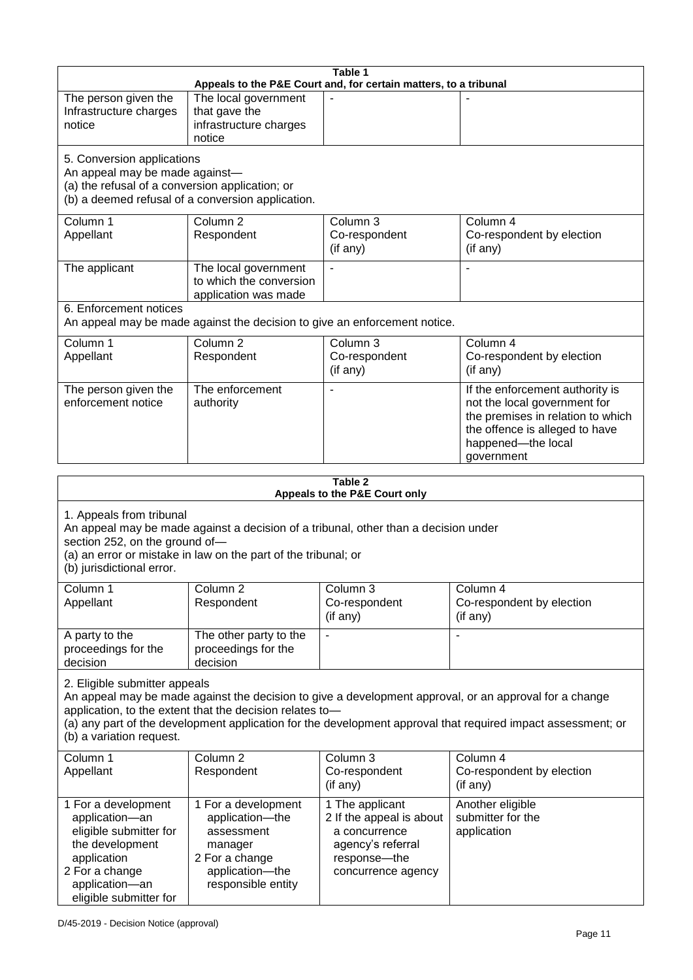|                                                                                                                                                                                                                                                  |                                                                           | Table 1<br>Appeals to the P&E Court and, for certain matters, to a tribunal |                                                                                                                                                                            |  |
|--------------------------------------------------------------------------------------------------------------------------------------------------------------------------------------------------------------------------------------------------|---------------------------------------------------------------------------|-----------------------------------------------------------------------------|----------------------------------------------------------------------------------------------------------------------------------------------------------------------------|--|
| The person given the<br>Infrastructure charges<br>notice                                                                                                                                                                                         | The local government<br>that gave the<br>infrastructure charges<br>notice |                                                                             |                                                                                                                                                                            |  |
| 5. Conversion applications<br>An appeal may be made against-<br>(a) the refusal of a conversion application; or                                                                                                                                  | (b) a deemed refusal of a conversion application.                         |                                                                             |                                                                                                                                                                            |  |
| Column 1<br>Appellant                                                                                                                                                                                                                            | Column 2<br>Respondent                                                    | Column 3<br>Co-respondent<br>(if any)                                       | Column 4<br>Co-respondent by election<br>(if any)                                                                                                                          |  |
| The applicant                                                                                                                                                                                                                                    | The local government<br>to which the conversion<br>application was made   | $\blacksquare$                                                              | ä,                                                                                                                                                                         |  |
| 6. Enforcement notices                                                                                                                                                                                                                           | An appeal may be made against the decision to give an enforcement notice. |                                                                             |                                                                                                                                                                            |  |
| Column 1<br>Appellant                                                                                                                                                                                                                            | Column <sub>2</sub><br>Respondent                                         | Column 3<br>Co-respondent<br>(if any)                                       | Column 4<br>Co-respondent by election<br>(if any)                                                                                                                          |  |
| The person given the<br>enforcement notice                                                                                                                                                                                                       | The enforcement<br>authority                                              |                                                                             | If the enforcement authority is<br>not the local government for<br>the premises in relation to which<br>the offence is alleged to have<br>happened-the local<br>government |  |
|                                                                                                                                                                                                                                                  |                                                                           |                                                                             |                                                                                                                                                                            |  |
| <b>Table 2</b><br>Appeals to the P&E Court only                                                                                                                                                                                                  |                                                                           |                                                                             |                                                                                                                                                                            |  |
| 1. Appeals from tribunal<br>An appeal may be made against a decision of a tribunal, other than a decision under<br>section 252, on the ground of-<br>(a) an error or mistake in law on the part of the tribunal; or<br>(b) jurisdictional error. |                                                                           |                                                                             |                                                                                                                                                                            |  |
| Column 1<br>Appellant                                                                                                                                                                                                                            | Column 2<br>Respondent                                                    | Column 3<br>Co-respondent<br>(if any)                                       | Column 4<br>Co-respondent by election<br>(if any)                                                                                                                          |  |
| A party to the<br>proceedings for the<br>decision                                                                                                                                                                                                | The other party to the<br>proceedings for the<br>decision                 | $\blacksquare$                                                              | $\overline{\phantom{a}}$                                                                                                                                                   |  |
| 2. Eligible submitter appeals                                                                                                                                                                                                                    |                                                                           |                                                                             |                                                                                                                                                                            |  |

An appeal may be made against the decision to give a development approval, or an approval for a change application, to the extent that the decision relates to—

(a) any part of the development application for the development approval that required impact assessment; or (b) a variation request.

| Column 1<br>Appellant                                                                                                                                           | Column 2<br>Respondent                                                                                                     | Column 3<br>Co-respondent<br>(if any)                                                                                     | Column 4<br>Co-respondent by election<br>(if any)    |
|-----------------------------------------------------------------------------------------------------------------------------------------------------------------|----------------------------------------------------------------------------------------------------------------------------|---------------------------------------------------------------------------------------------------------------------------|------------------------------------------------------|
| 1 For a development<br>application-an<br>eligible submitter for<br>the development<br>application<br>2 For a change<br>application-an<br>eligible submitter for | 1 For a development<br>application-the<br>assessment<br>manager<br>2 For a change<br>application-the<br>responsible entity | 1 The applicant<br>2 If the appeal is about<br>a concurrence<br>agency's referral<br>response---the<br>concurrence agency | Another eligible<br>submitter for the<br>application |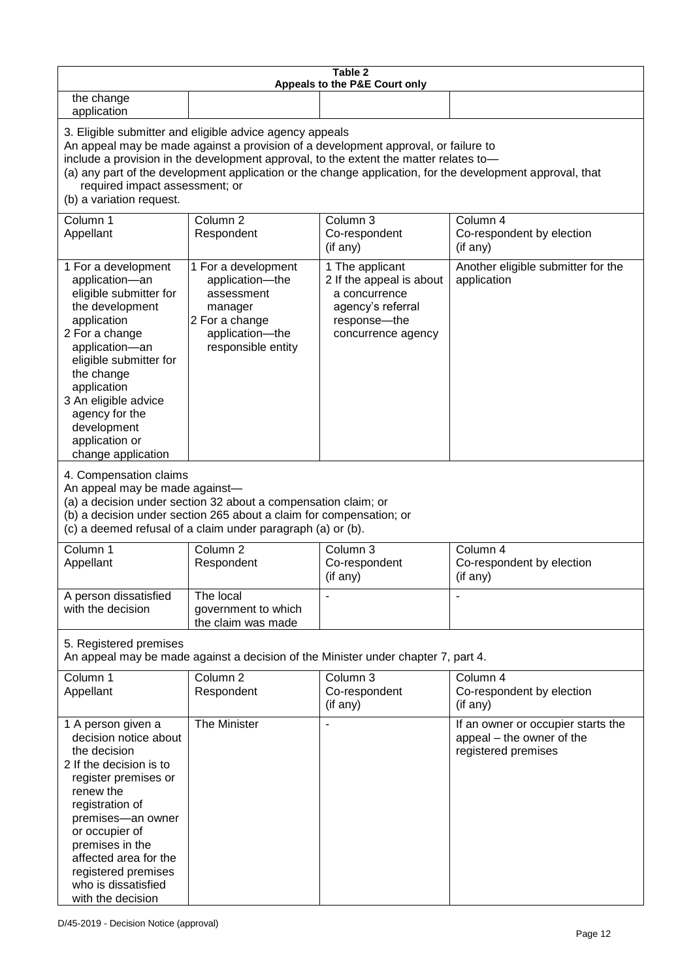| Table 2<br>Appeals to the P&E Court only                                                                                                                                                                                                                                                                                                                                                                           |                                                                                                                            |                                                                                                                         |                                                                                        |
|--------------------------------------------------------------------------------------------------------------------------------------------------------------------------------------------------------------------------------------------------------------------------------------------------------------------------------------------------------------------------------------------------------------------|----------------------------------------------------------------------------------------------------------------------------|-------------------------------------------------------------------------------------------------------------------------|----------------------------------------------------------------------------------------|
| the change<br>application                                                                                                                                                                                                                                                                                                                                                                                          |                                                                                                                            |                                                                                                                         |                                                                                        |
| 3. Eligible submitter and eligible advice agency appeals<br>An appeal may be made against a provision of a development approval, or failure to<br>include a provision in the development approval, to the extent the matter relates to-<br>(a) any part of the development application or the change application, for the development approval, that<br>required impact assessment; or<br>(b) a variation request. |                                                                                                                            |                                                                                                                         |                                                                                        |
| Column 1<br>Appellant                                                                                                                                                                                                                                                                                                                                                                                              | Column <sub>2</sub><br>Respondent                                                                                          | Column 3<br>Co-respondent<br>(if any)                                                                                   | Column 4<br>Co-respondent by election<br>(if any)                                      |
| 1 For a development<br>application-an<br>eligible submitter for<br>the development<br>application<br>2 For a change<br>application-an<br>eligible submitter for<br>the change<br>application<br>3 An eligible advice<br>agency for the<br>development<br>application or<br>change application                                                                                                                      | 1 For a development<br>application-the<br>assessment<br>manager<br>2 For a change<br>application-the<br>responsible entity | 1 The applicant<br>2 If the appeal is about<br>a concurrence<br>agency's referral<br>response-the<br>concurrence agency | Another eligible submitter for the<br>application                                      |
| 4. Compensation claims<br>An appeal may be made against-<br>(a) a decision under section 32 about a compensation claim; or<br>(b) a decision under section 265 about a claim for compensation; or<br>(c) a deemed refusal of a claim under paragraph (a) or (b).                                                                                                                                                   |                                                                                                                            |                                                                                                                         |                                                                                        |
| Column 1<br>Appellant                                                                                                                                                                                                                                                                                                                                                                                              | Column <sub>2</sub><br>Respondent                                                                                          | Column 3<br>Co-respondent<br>(if any)                                                                                   | Column 4<br>Co-respondent by election<br>(if any)                                      |
| A person dissatisfied<br>with the decision                                                                                                                                                                                                                                                                                                                                                                         | The local<br>government to which<br>the claim was made                                                                     |                                                                                                                         |                                                                                        |
| 5. Registered premises<br>An appeal may be made against a decision of the Minister under chapter 7, part 4.                                                                                                                                                                                                                                                                                                        |                                                                                                                            |                                                                                                                         |                                                                                        |
| Column 1<br>Appellant                                                                                                                                                                                                                                                                                                                                                                                              | Column <sub>2</sub><br>Respondent                                                                                          | Column 3<br>Co-respondent<br>(if any)                                                                                   | Column 4<br>Co-respondent by election<br>(if any)                                      |
| 1 A person given a<br>decision notice about<br>the decision<br>2 If the decision is to<br>register premises or<br>renew the<br>registration of<br>premises-an owner<br>or occupier of<br>premises in the<br>affected area for the<br>registered premises<br>who is dissatisfied<br>with the decision                                                                                                               | The Minister                                                                                                               |                                                                                                                         | If an owner or occupier starts the<br>appeal - the owner of the<br>registered premises |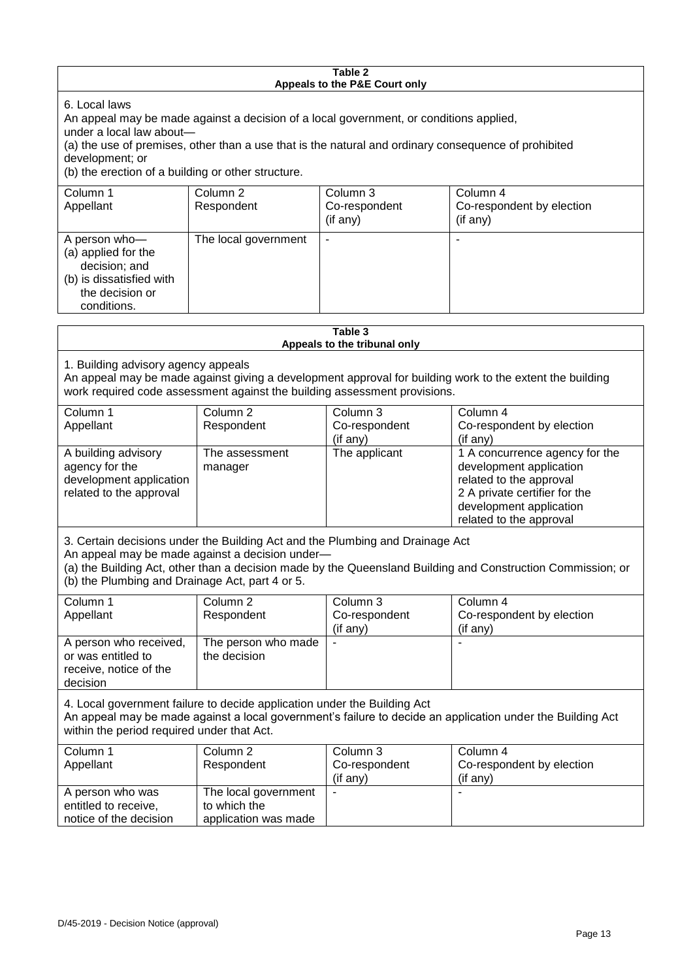#### **Table 2 Appeals to the P&E Court only**

6. Local laws

An appeal may be made against a decision of a local government, or conditions applied,

under a local law about—

(a) the use of premises, other than a use that is the natural and ordinary consequence of prohibited development; or

(b) the erection of a building or other structure.

| Column 1<br>Appellant                                                                                               | Column 2<br>Respondent | Column 3<br>Co-respondent<br>(if any) | Column 4<br>Co-respondent by election<br>(if any) |
|---------------------------------------------------------------------------------------------------------------------|------------------------|---------------------------------------|---------------------------------------------------|
| A person who-<br>(a) applied for the<br>decision; and<br>(b) is dissatisfied with<br>the decision or<br>conditions. | The local government   | ٠                                     |                                                   |

| Table 3<br>Appeals to the tribunal only                                                                                                                                                                                                                                                            |                                                              |                                       |                                                                                                                                                                             |  |
|----------------------------------------------------------------------------------------------------------------------------------------------------------------------------------------------------------------------------------------------------------------------------------------------------|--------------------------------------------------------------|---------------------------------------|-----------------------------------------------------------------------------------------------------------------------------------------------------------------------------|--|
| 1. Building advisory agency appeals<br>An appeal may be made against giving a development approval for building work to the extent the building<br>work required code assessment against the building assessment provisions.                                                                       |                                                              |                                       |                                                                                                                                                                             |  |
| Column <sub>1</sub><br>Appellant                                                                                                                                                                                                                                                                   | Column <sub>2</sub><br>Respondent                            | Column 3<br>Co-respondent<br>(if any) | Column 4<br>Co-respondent by election<br>(if any)                                                                                                                           |  |
| A building advisory<br>agency for the<br>development application<br>related to the approval                                                                                                                                                                                                        | The assessment<br>manager                                    | The applicant                         | 1 A concurrence agency for the<br>development application<br>related to the approval<br>2 A private certifier for the<br>development application<br>related to the approval |  |
| 3. Certain decisions under the Building Act and the Plumbing and Drainage Act<br>An appeal may be made against a decision under-<br>(a) the Building Act, other than a decision made by the Queensland Building and Construction Commission; or<br>(b) the Plumbing and Drainage Act, part 4 or 5. |                                                              |                                       |                                                                                                                                                                             |  |
| Column 1<br>Appellant                                                                                                                                                                                                                                                                              | Column <sub>2</sub><br>Respondent                            | Column 3<br>Co-respondent<br>(if any) | Column 4<br>Co-respondent by election<br>(if any)                                                                                                                           |  |
| A person who received,<br>or was entitled to<br>receive, notice of the<br>decision                                                                                                                                                                                                                 | The person who made<br>the decision                          |                                       |                                                                                                                                                                             |  |
| 4. Local government failure to decide application under the Building Act<br>An appeal may be made against a local government's failure to decide an application under the Building Act<br>within the period required under that Act.                                                               |                                                              |                                       |                                                                                                                                                                             |  |
| Column 1<br>Appellant                                                                                                                                                                                                                                                                              | Column <sub>2</sub><br>Respondent                            | Column 3<br>Co-respondent<br>(if any) | Column 4<br>Co-respondent by election<br>(if any)                                                                                                                           |  |
| A person who was<br>entitled to receive,<br>notice of the decision                                                                                                                                                                                                                                 | The local government<br>to which the<br>application was made |                                       |                                                                                                                                                                             |  |